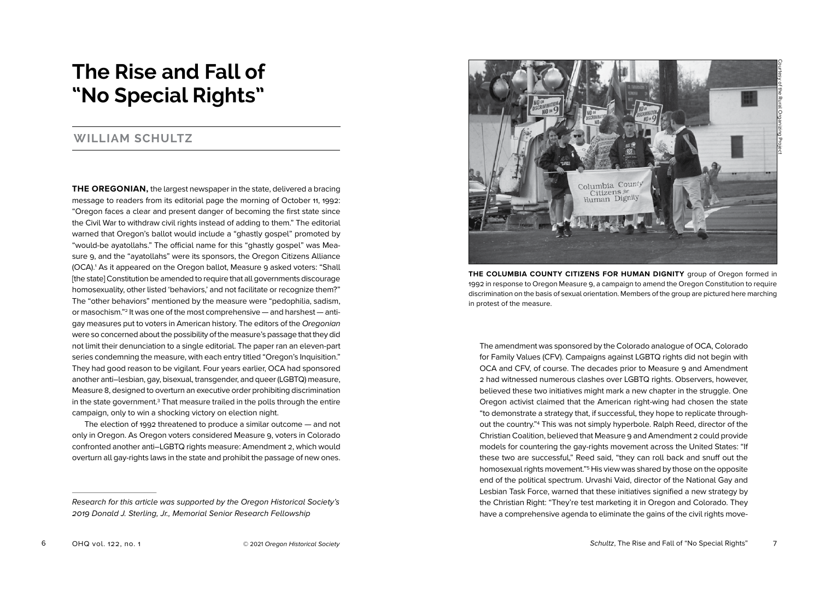# **The Rise and Fall of "No Special Rights"**

## **WILLIAM SCHULTZ**

**THE OREGONIAN,** the largest newspaper in the state, delivered a bracing message to readers from its editorial page the morning of October 11, 1992: "Oregon faces a clear and present danger of becoming the first state since the Civil War to withdraw civil rights instead of adding to them." The editorial warned that Oregon's ballot would include a "ghastly gospel" promoted by "would-be ayatollahs." The official name for this "ghastly gospel" was Measure 9, and the "ayatollahs" were its sponsors, the Oregon Citizens Alliance (OCA).1 As it appeared on the Oregon ballot, Measure 9 asked voters: "Shall [the state] Constitution be amended to require that all governments discourage homosexuality, other listed 'behaviors,' and not facilitate or recognize them?" The "other behaviors" mentioned by the measure were "pedophilia, sadism, or masochism."<sup>2</sup> It was one of the most comprehensive — and harshest — antigay measures put to voters in American history. The editors of the Oregonian were so concerned about the possibility of the measure's passage that they did not limit their denunciation to a single editorial. The paper ran an eleven-part series condemning the measure, with each entry titled "Oregon's Inquisition." They had good reason to be vigilant. Four years earlier, OCA had sponsored another anti–lesbian, gay, bisexual, transgender, and queer (LGBTQ) measure, Measure 8, designed to overturn an executive order prohibiting discrimination in the state government.<sup>3</sup> That measure trailed in the polls through the entire campaign, only to win a shocking victory on election night.

The election of 1992 threatened to produce a similar outcome — and not only in Oregon. As Oregon voters considered Measure 9, voters in Colorado confronted another anti–LGBTQ rights measure: Amendment 2, which would overturn all gay-rights laws in the state and prohibit the passage of new ones.



**THE COLUMBIA COUNTY CITIZENS FOR HUMAN DIGNITY** group of Oregon formed in 1992 in response to Oregon Measure 9, a campaign to amend the Oregon Constitution to require discrimination on the basis of sexual orientation. Members of the group are pictured here marching in protest of the measure.

The amendment was sponsored by the Colorado analogue of OCA, Colorado for Family Values (CFV). Campaigns against LGBTQ rights did not begin with OCA and CFV, of course. The decades prior to Measure 9 and Amendment 2 had witnessed numerous clashes over LGBTQ rights. Observers, however, believed these two initiatives might mark a new chapter in the struggle. One Oregon activist claimed that the American right-wing had chosen the state "to demonstrate a strategy that, if successful, they hope to replicate throughout the country."4 This was not simply hyperbole. Ralph Reed, director of the Christian Coalition, believed that Measure 9 and Amendment 2 could provide models for countering the gay-rights movement across the United States: "If these two are successful," Reed said, "they can roll back and snuff out the homosexual rights movement."5 His view was shared by those on the opposite end of the political spectrum. Urvashi Vaid, director of the National Gay and Lesbian Task Force, warned that these initiatives signified a new strategy by the Christian Right: "They're test marketing it in Oregon and Colorado. They have a comprehensive agenda to eliminate the gains of the civil rights move-

Research for this article was supported by the Oregon Historical Society's 2019 Donald J. Sterling, Jr., Memorial Senior Research Fellowship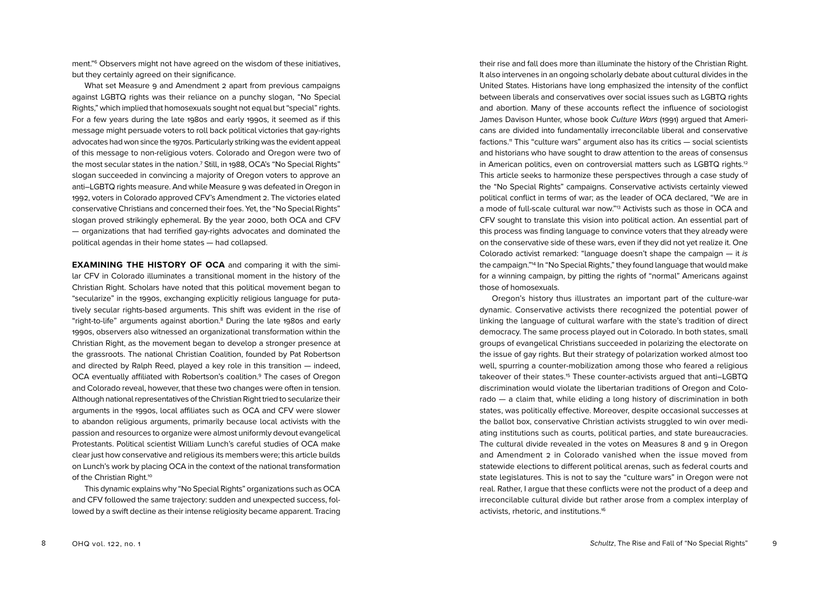ment."6 Observers might not have agreed on the wisdom of these initiatives, but they certainly agreed on their significance.

What set Measure 9 and Amendment 2 apart from previous campaigns against LGBTQ rights was their reliance on a punchy slogan, "No Special Rights," which implied that homosexuals sought not equal but "special" rights. For a few years during the late 1980s and early 1990s, it seemed as if this message might persuade voters to roll back political victories that gay-rights advocates had won since the 1970s. Particularly striking was the evident appeal of this message to non-religious voters. Colorado and Oregon were two of the most secular states in the nation.<sup>7</sup> Still, in 1988, OCA's "No Special Rights" slogan succeeded in convincing a majority of Oregon voters to approve an anti–LGBTQ rights measure. And while Measure 9 was defeated in Oregon in 1992, voters in Colorado approved CFV's Amendment 2. The victories elated conservative Christians and concerned their foes. Yet, the "No Special Rights" slogan proved strikingly ephemeral. By the year 2000, both OCA and CFV — organizations that had terrified gay-rights advocates and dominated the political agendas in their home states — had collapsed.

**EXAMINING THE HISTORY OF OCA** and comparing it with the similar CFV in Colorado illuminates a transitional moment in the history of the Christian Right. Scholars have noted that this political movement began to "secularize" in the 1990s, exchanging explicitly religious language for putatively secular rights-based arguments. This shift was evident in the rise of "right-to-life" arguments against abortion.8 During the late 1980s and early 1990s, observers also witnessed an organizational transformation within the Christian Right, as the movement began to develop a stronger presence at the grassroots. The national Christian Coalition, founded by Pat Robertson and directed by Ralph Reed, played a key role in this transition — indeed, OCA eventually affiliated with Robertson's coalition.9 The cases of Oregon and Colorado reveal, however, that these two changes were often in tension. Although national representatives of the Christian Right tried to secularize their arguments in the 1990s, local affiliates such as OCA and CFV were slower to abandon religious arguments, primarily because local activists with the passion and resources to organize were almost uniformly devout evangelical Protestants. Political scientist William Lunch's careful studies of OCA make clear just how conservative and religious its members were; this article builds on Lunch's work by placing OCA in the context of the national transformation of the Christian Right.<sup>10</sup>

This dynamic explains why "No Special Rights" organizations such as OCA and CFV followed the same trajectory: sudden and unexpected success, followed by a swift decline as their intense religiosity became apparent. Tracing

their rise and fall does more than illuminate the history of the Christian Right. It also intervenes in an ongoing scholarly debate about cultural divides in the United States. Historians have long emphasized the intensity of the conflict between liberals and conservatives over social issues such as LGBTQ rights and abortion. Many of these accounts reflect the influence of sociologist James Davison Hunter, whose book Culture Wars (1991) argued that Americans are divided into fundamentally irreconcilable liberal and conservative factions.<sup>11</sup> This "culture wars" argument also has its critics — social scientists and historians who have sought to draw attention to the areas of consensus in American politics, even on controversial matters such as LGBTQ rights.<sup>12</sup> This article seeks to harmonize these perspectives through a case study of the "No Special Rights" campaigns. Conservative activists certainly viewed political conflict in terms of war; as the leader of OCA declared, "We are in a mode of full-scale cultural war now."13 Activists such as those in OCA and CFV sought to translate this vision into political action. An essential part of this process was finding language to convince voters that they already were on the conservative side of these wars, even if they did not yet realize it. One Colorado activist remarked: "language doesn't shape the campaign — it is the campaign."14 In "No Special Rights," they found language that would make for a winning campaign, by pitting the rights of "normal" Americans against those of homosexuals.

Oregon's history thus illustrates an important part of the culture-war dynamic. Conservative activists there recognized the potential power of linking the language of cultural warfare with the state's tradition of direct democracy. The same process played out in Colorado. In both states, small groups of evangelical Christians succeeded in polarizing the electorate on the issue of gay rights. But their strategy of polarization worked almost too well, spurring a counter-mobilization among those who feared a religious takeover of their states.15 These counter-activists argued that anti–LGBTQ discrimination would violate the libertarian traditions of Oregon and Colorado — a claim that, while eliding a long history of discrimination in both states, was politically effective. Moreover, despite occasional successes at the ballot box, conservative Christian activists struggled to win over mediating institutions such as courts, political parties, and state bureaucracies. The cultural divide revealed in the votes on Measures 8 and 9 in Oregon and Amendment 2 in Colorado vanished when the issue moved from statewide elections to different political arenas, such as federal courts and state legislatures. This is not to say the "culture wars" in Oregon were not real. Rather, I argue that these conflicts were not the product of a deep and irreconcilable cultural divide but rather arose from a complex interplay of activists, rhetoric, and institutions.16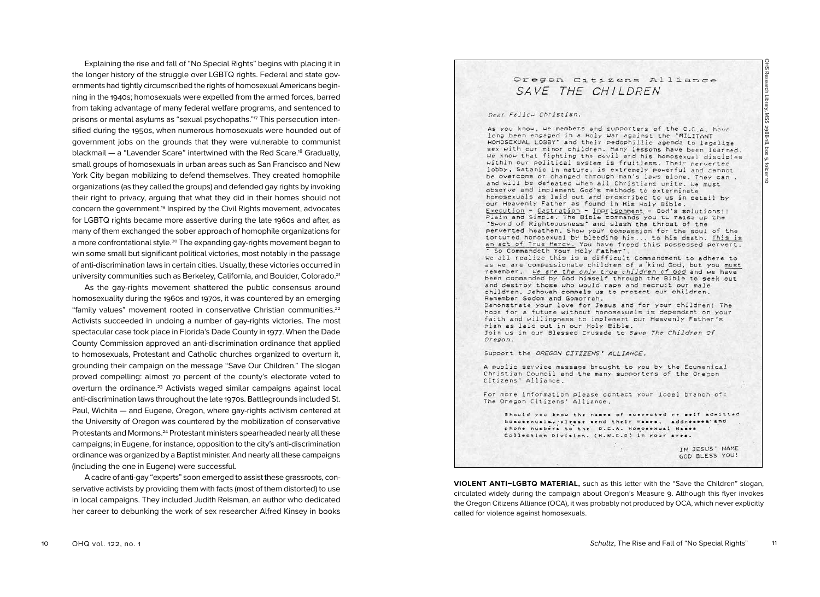Explaining the rise and fall of "No Special Rights" begins with placing it in the longer history of the struggle over LGBTQ rights. Federal and state governments had tightly circumscribed the rights of homosexual Americans beginning in the 1940s; homosexuals were expelled from the armed forces, barred from taking advantage of many federal welfare programs, and sentenced to prisons or mental asylums as "sexual psychopaths."17 This persecution intensified during the 1950s, when numerous homosexuals were hounded out of government jobs on the grounds that they were vulnerable to communist blackmail — a "Lavender Scare" intertwined with the Red Scare.18 Gradually, small groups of homosexuals in urban areas such as San Francisco and New York City began mobilizing to defend themselves. They created homophile organizations (as they called the groups) and defended gay rights by invoking their right to privacy, arguing that what they did in their homes should not concern the government.<sup>19</sup> Inspired by the Civil Rights movement, advocates for LGBTQ rights became more assertive during the late 1960s and after, as many of them exchanged the sober approach of homophile organizations for a more confrontational style.20 The expanding gay-rights movement began to win some small but significant political victories, most notably in the passage of anti-discrimination laws in certain cities. Usually, these victories occurred in university communities such as Berkeley, California, and Boulder, Colorado.21

As the gay-rights movement shattered the public consensus around homosexuality during the 1960s and 1970s, it was countered by an emerging "family values" movement rooted in conservative Christian communities.22 Activists succeeded in undoing a number of gay-rights victories. The most spectacular case took place in Florida's Dade County in 1977. When the Dade County Commission approved an anti-discrimination ordinance that applied to homosexuals, Protestant and Catholic churches organized to overturn it, grounding their campaign on the message "Save Our Children." The slogan proved compelling: almost 70 percent of the county's electorate voted to overturn the ordinance.<sup>23</sup> Activists waged similar campaigns against local anti-discrimination laws throughout the late 1970s. Battlegrounds included St. Paul, Wichita — and Eugene, Oregon, where gay-rights activism centered at the University of Oregon was countered by the mobilization of conservative Protestants and Mormons.<sup>24</sup> Protestant ministers spearheaded nearly all these campaigns; in Eugene, for instance, opposition to the city's anti-discrimination ordinance was organized by a Baptist minister. And nearly all these campaigns (including the one in Eugene) were successful.

A cadre of anti-gay "experts" soon emerged to assist these grassroots, conservative activists by providing them with facts (most of them distorted) to use in local campaigns. They included Judith Reisman, an author who dedicated her career to debunking the work of sex researcher Alfred Kinsey in books

# Oregon Citizens Alliance SAVE THE CHILDREN

OHS Research Library, MSS 2988-18, box 5, folder 10Research Library, MSS 2988-18, box 5, fol

|ㅎ

#### Dear Fellow Christian,

As you know, we members and supporters of the O.C.A. have long been engaged in a Holy War against the "MILITANT HOMOSEXUAL LOBBY' and their pedophillic agenda to legalize sex with our minor children. Many lessons have been learned. We know that fighting the devil and his homosexual disciples within our political system is fruitless. Their perverted lobby, Satanic in nature. is extremely powerful and cannot be overcome or changed through man's laws alone. They can. and will be defeated when all Christians unite. We must observe and implement God's methods to exterminate homosexuals as laid out and proscribed to us in detail by our Heavenly Father as found in His Holy Bible. Execution - Castration - Imprisonment - God's solutions!! Pisin and Simple. The Bible commands you to raise up the "Sword of Righteousness" and slash the throat of the perverted heathen. Show your compassion for the soul of the tortured homosexual by bleeding him... to his death. This is an act of True Mercy. You have freed this possessed pervert. \* So Commandeth Your Holy Father". We all realize this is a difficult Commandment to adhere to as we are compassionate children of a kind God, but you must remember, We sre the only true children of God and we have been commanded by God himself through the Bible to seek out and destroy those who would rape and recruit our male children. Jehovah compels us to protect our children. Remember Sodom and Gomorrah. Demonstrate your love for Jesus and for your children! The hope for a future without homosexuals is dependant on your faith and willingness to implement our Heavenly Father's plan as laid out in our Holy Bible. Join us in our Blessed Crusade to Save The Children Of Oregon. Support the OREGON CITIZENS' ALLIANCE. A public service message brought to you by the Ecumenical Christian Council and the many supporters of the Oregon Citizens' Alliance. For more information please contact your local branch of: The Oregon Citizens' Alliance. Should you know the names of suspected or self admitted homosexuals, please send their names, addresses and phone numbers to the O.C.A. Homosexual Wames . Collection Division. (H.W.C.D) in your area. IN JESUS' NAME GOD BLESS YOU!

**VIOLENT ANTI–LGBTQ MATERIAL,** such as this letter with the "Save the Children" slogan, circulated widely during the campaign about Oregon's Measure 9. Although this flyer invokes the Oregon Citizens Alliance (OCA), it was probably not produced by OCA, which never explicitly called for violence against homosexuals.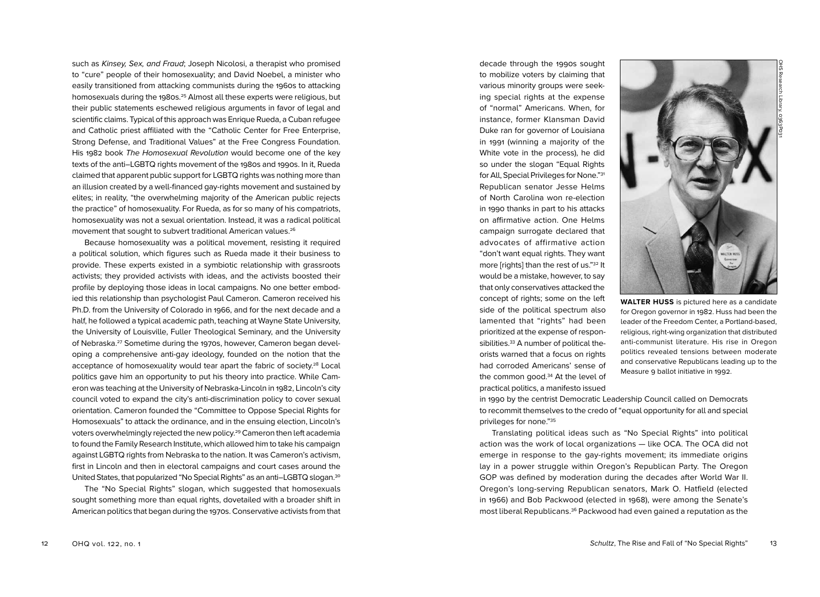such as Kinsey, Sex, and Fraud; Joseph Nicolosi, a therapist who promised to "cure" people of their homosexuality; and David Noebel, a minister who easily transitioned from attacking communists during the 1960s to attacking homosexuals during the 1980s.<sup>25</sup> Almost all these experts were religious, but their public statements eschewed religious arguments in favor of legal and scientific claims. Typical of this approach was Enrique Rueda, a Cuban refugee and Catholic priest affiliated with the "Catholic Center for Free Enterprise, Strong Defense, and Traditional Values" at the Free Congress Foundation. His 1982 book The Homosexual Revolution would become one of the key texts of the anti–LGBTQ rights movement of the 1980s and 1990s. In it, Rueda claimed that apparent public support for LGBTQ rights was nothing more than an illusion created by a well-financed gay-rights movement and sustained by elites; in reality, "the overwhelming majority of the American public rejects the practice" of homosexuality. For Rueda, as for so many of his compatriots, homosexuality was not a sexual orientation. Instead, it was a radical political movement that sought to subvert traditional American values.<sup>26</sup>

Because homosexuality was a political movement, resisting it required a political solution, which figures such as Rueda made it their business to provide. These experts existed in a symbiotic relationship with grassroots activists; they provided activists with ideas, and the activists boosted their profile by deploying those ideas in local campaigns. No one better embodied this relationship than psychologist Paul Cameron. Cameron received his Ph.D. from the University of Colorado in 1966, and for the next decade and a half, he followed a typical academic path, teaching at Wayne State University, the University of Louisville, Fuller Theological Seminary, and the University of Nebraska.27 Sometime during the 1970s, however, Cameron began developing a comprehensive anti-gay ideology, founded on the notion that the acceptance of homosexuality would tear apart the fabric of society.<sup>28</sup> Local politics gave him an opportunity to put his theory into practice. While Cameron was teaching at the University of Nebraska-Lincoln in 1982, Lincoln's city council voted to expand the city's anti-discrimination policy to cover sexual orientation. Cameron founded the "Committee to Oppose Special Rights for Homosexuals" to attack the ordinance, and in the ensuing election, Lincoln's voters overwhelmingly rejected the new policy.29 Cameron then left academia to found the Family Research Institute, which allowed him to take his campaign against LGBTQ rights from Nebraska to the nation. It was Cameron's activism, first in Lincoln and then in electoral campaigns and court cases around the United States, that popularized "No Special Rights" as an anti–LGBTQ slogan.30

The "No Special Rights" slogan, which suggested that homosexuals sought something more than equal rights, dovetailed with a broader shift in American politics that began during the 1970s. Conservative activists from that decade through the 1990s sought to mobilize voters by claiming that various minority groups were seeking special rights at the expense of "normal" Americans. When, for instance, former Klansman David Duke ran for governor of Louisiana in 1991 (winning a majority of the White vote in the process), he did so under the slogan "Equal Rights for All, Special Privileges for None."31 Republican senator Jesse Helms of North Carolina won re-election in 1990 thanks in part to his attacks on affirmative action. One Helms campaign surrogate declared that advocates of affirmative action "don't want equal rights. They want more [rights] than the rest of us."32 It would be a mistake, however, to say that only conservatives attacked the concept of rights; some on the left side of the political spectrum also lamented that "rights" had been prioritized at the expense of responsibilities.<sup>33</sup> A number of political theorists warned that a focus on rights had corroded Americans' sense of the common good.34 At the level of practical politics, a manifesto issued

**WALTER HUSS** is pictured here as a candidate

for Oregon governor in 1982. Huss had been the leader of the Freedom Center, a Portland-based, religious, right-wing organization that distributed anti-communist literature. His rise in Oregon politics revealed tensions between moderate and conservative Republicans leading up to the Measure 9 ballot initiative in 1992.

in 1990 by the centrist Democratic Leadership Council called on Democrats to recommit themselves to the credo of "equal opportunity for all and special privileges for none."35

Translating political ideas such as "No Special Rights" into political action was the work of local organizations — like OCA. The OCA did not emerge in response to the gay-rights movement; its immediate origins lay in a power struggle within Oregon's Republican Party. The Oregon GOP was defined by moderation during the decades after World War II. Oregon's long-serving Republican senators, Mark O. Hatfield (elected in 1966) and Bob Packwood (elected in 1968), were among the Senate's most liberal Republicans.36 Packwood had even gained a reputation as the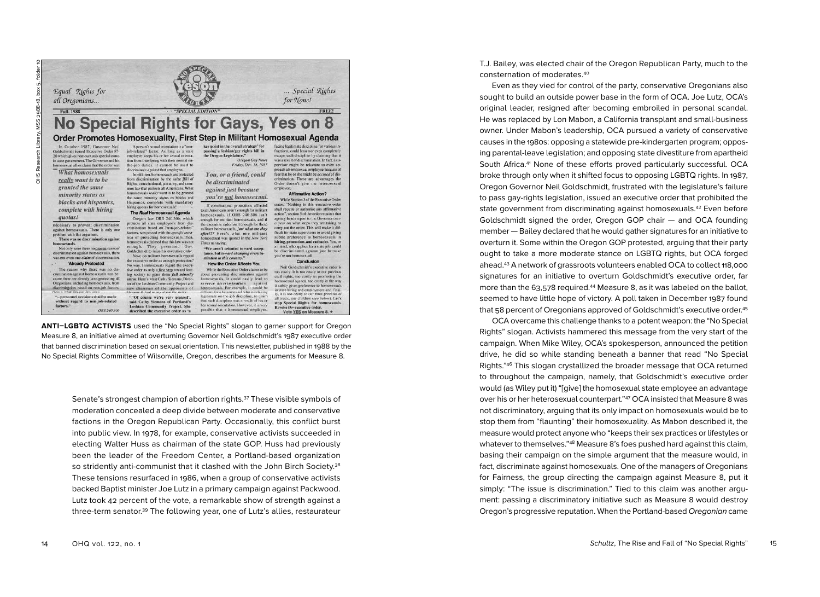

**ANTI–LGBTQ ACTIVISTS** used the "No Special Rights" slogan to garner support for Oregon Measure 8, an initiative aimed at overturning Governor Neil Goldschmidt's 1987 executive order that banned discrimination based on sexual orientation. This newsletter, published in 1988 by the No Special Rights Committee of Wilsonville, Oregon, describes the arguments for Measure 8.

Senate's strongest champion of abortion rights.37 These visible symbols of moderation concealed a deep divide between moderate and conservative factions in the Oregon Republican Party. Occasionally, this conflict burst into public view. In 1978, for example, conservative activists succeeded in electing Walter Huss as chairman of the state GOP. Huss had previously been the leader of the Freedom Center, a Portland-based organization so stridently anti-communist that it clashed with the John Birch Society.<sup>38</sup> These tensions resurfaced in 1986, when a group of conservative activists backed Baptist minister Joe Lutz in a primary campaign against Packwood. Lutz took 42 percent of the vote, a remarkable show of strength against a three-term senator.39 The following year, one of Lutz's allies, restaurateur

T.J. Bailey, was elected chair of the Oregon Republican Party, much to the consternation of moderates.40

Even as they vied for control of the party, conservative Oregonians also sought to build an outside power base in the form of OCA. Joe Lutz, OCA's original leader, resigned after becoming embroiled in personal scandal. He was replaced by Lon Mabon, a California transplant and small-business owner. Under Mabon's leadership, OCA pursued a variety of conservative causes in the 1980s: opposing a statewide pre-kindergarten program; opposing parental-leave legislation; and opposing state divestiture from apartheid South Africa.41 None of these efforts proved particularly successful. OCA broke through only when it shifted focus to opposing LGBTQ rights. In 1987, Oregon Governor Neil Goldschmidt, frustrated with the legislature's failure to pass gay-rights legislation, issued an executive order that prohibited the state government from discriminating against homosexuals.42 Even before Goldschmidt signed the order, Oregon GOP chair — and OCA founding member — Bailey declared that he would gather signatures for an initiative to overturn it. Some within the Oregon GOP protested, arguing that their party ought to take a more moderate stance on LGBTQ rights, but OCA forged ahead.43 A network of grassroots volunteers enabled OCA to collect 118,000 signatures for an initiative to overturn Goldschmidt's executive order, far more than the 63,578 required.44 Measure 8, as it was labeled on the ballot, seemed to have little hope of victory. A poll taken in December 1987 found that 58 percent of Oregonians approved of Goldschmidt's executive order.45

OCA overcame this challenge thanks to a potent weapon: the "No Special Rights" slogan. Activists hammered this message from the very start of the campaign. When Mike Wiley, OCA's spokesperson, announced the petition drive, he did so while standing beneath a banner that read "No Special Rights."46 This slogan crystallized the broader message that OCA returned to throughout the campaign, namely, that Goldschmidt's executive order would (as Wiley put it) "[give] the homosexual state employee an advantage over his or her heterosexual counterpart."47 OCA insisted that Measure 8 was not discriminatory, arguing that its only impact on homosexuals would be to stop them from "flaunting" their homosexuality. As Mabon described it, the measure would protect anyone who "keeps their sex practices or lifestyles or whatever to themselves."48 Measure 8's foes pushed hard against this claim, basing their campaign on the simple argument that the measure would, in fact, discriminate against homosexuals. One of the managers of Oregonians for Fairness, the group directing the campaign against Measure 8, put it simply: "The issue is discrimination." Tied to this claim was another argument: passing a discriminatory initiative such as Measure 8 would destroy Oregon's progressive reputation. When the Portland-based Oregonian came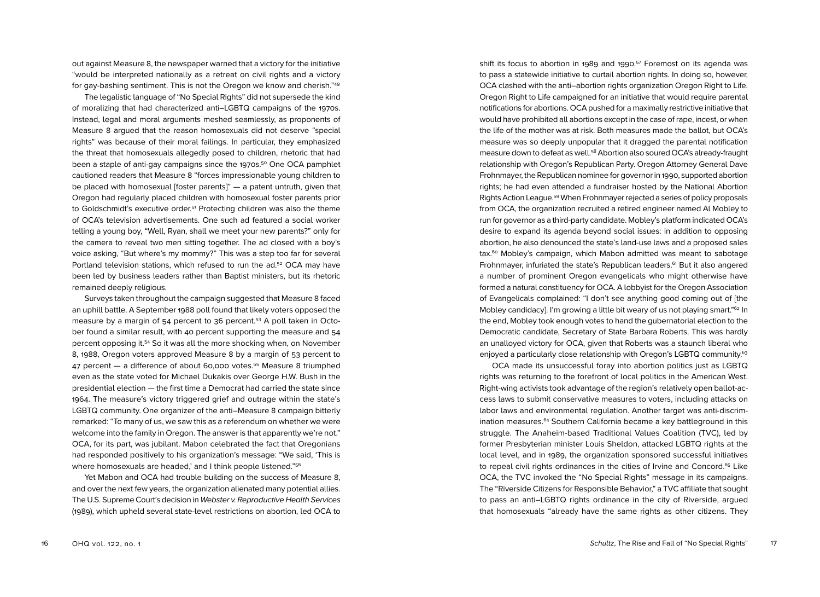out against Measure 8, the newspaper warned that a victory for the initiative "would be interpreted nationally as a retreat on civil rights and a victory for gay-bashing sentiment. This is not the Oregon we know and cherish."49

The legalistic language of "No Special Rights" did not supersede the kind of moralizing that had characterized anti–LGBTQ campaigns of the 1970s. Instead, legal and moral arguments meshed seamlessly, as proponents of Measure 8 argued that the reason homosexuals did not deserve "special rights" was because of their moral failings. In particular, they emphasized the threat that homosexuals allegedly posed to children, rhetoric that had been a staple of anti-gay campaigns since the 1970s.<sup>50</sup> One OCA pamphlet cautioned readers that Measure 8 "forces impressionable young children to be placed with homosexual [foster parents]" — a patent untruth, given that Oregon had regularly placed children with homosexual foster parents prior to Goldschmidt's executive order.51 Protecting children was also the theme of OCA's television advertisements. One such ad featured a social worker telling a young boy, "Well, Ryan, shall we meet your new parents?" only for the camera to reveal two men sitting together. The ad closed with a boy's voice asking, "But where's my mommy?" This was a step too far for several Portland television stations, which refused to run the ad.<sup>52</sup> OCA may have been led by business leaders rather than Baptist ministers, but its rhetoric remained deeply religious.

Surveys taken throughout the campaign suggested that Measure 8 faced an uphill battle. A September 1988 poll found that likely voters opposed the measure by a margin of 54 percent to 36 percent.53 A poll taken in October found a similar result, with 40 percent supporting the measure and 54 percent opposing it.54 So it was all the more shocking when, on November 8, 1988, Oregon voters approved Measure 8 by a margin of 53 percent to 47 percent - a difference of about 60,000 votes.<sup>55</sup> Measure 8 triumphed even as the state voted for Michael Dukakis over George H.W. Bush in the presidential election — the first time a Democrat had carried the state since 1964. The measure's victory triggered grief and outrage within the state's LGBTQ community. One organizer of the anti–Measure 8 campaign bitterly remarked: "To many of us, we saw this as a referendum on whether we were welcome into the family in Oregon. The answer is that apparently we're not." OCA, for its part, was jubilant. Mabon celebrated the fact that Oregonians had responded positively to his organization's message: "We said, 'This is where homosexuals are headed,' and I think people listened."<sup>56</sup>

Yet Mabon and OCA had trouble building on the success of Measure 8, and over the next few years, the organization alienated many potential allies. The U.S. Supreme Court's decision in Webster v. Reproductive Health Services (1989), which upheld several state-level restrictions on abortion, led OCA to

shift its focus to abortion in 1989 and 1990. 57 Foremost on its agenda was to pass a statewide initiative to curtail abortion rights. In doing so, however, OCA clashed with the anti–abortion rights organization Oregon Right to Life. Oregon Right to Life campaigned for an initiative that would require parental notifications for abortions. OCA pushed for a maximally restrictive initiative that would have prohibited all abortions except in the case of rape, incest, or when the life of the mother was at risk. Both measures made the ballot, but OCA's measure was so deeply unpopular that it dragged the parental notification measure down to defeat as well.58 Abortion also soured OCA's already-fraught relationship with Oregon's Republican Party. Oregon Attorney General Dave Frohnmayer, the Republican nominee for governor in 1990, supported abortion rights; he had even attended a fundraiser hosted by the National Abortion Rights Action League.59 When Frohnmayer rejected a series of policy proposals from OCA, the organization recruited a retired engineer named Al Mobley to run for governor as a third-party candidate. Mobley's platform indicated OCA's desire to expand its agenda beyond social issues: in addition to opposing abortion, he also denounced the state's land-use laws and a proposed sales tax.<sup>60</sup> Mobley's campaign, which Mabon admitted was meant to sabotage Frohnmayer, infuriated the state's Republican leaders.<sup>61</sup> But it also angered a number of prominent Oregon evangelicals who might otherwise have formed a natural constituency for OCA. A lobbyist for the Oregon Association of Evangelicals complained: "I don't see anything good coming out of [the Mobley candidacy]. I'm growing a little bit weary of us not playing smart."<sup>62</sup> In the end, Mobley took enough votes to hand the gubernatorial election to the Democratic candidate, Secretary of State Barbara Roberts. This was hardly an unalloyed victory for OCA, given that Roberts was a staunch liberal who enjoyed a particularly close relationship with Oregon's LGBTQ community.<sup>63</sup>

OCA made its unsuccessful foray into abortion politics just as LGBTQ rights was returning to the forefront of local politics in the American West. Right-wing activists took advantage of the region's relatively open ballot-access laws to submit conservative measures to voters, including attacks on labor laws and environmental regulation. Another target was anti-discrimination measures.<sup>64</sup> Southern California became a key battleground in this struggle. The Anaheim-based Traditional Values Coalition (TVC), led by former Presbyterian minister Louis Sheldon, attacked LGBTQ rights at the local level, and in 1989, the organization sponsored successful initiatives to repeal civil rights ordinances in the cities of Irvine and Concord.<sup>65</sup> Like OCA, the TVC invoked the "No Special Rights" message in its campaigns. The "Riverside Citizens for Responsible Behavior," a TVC affiliate that sought to pass an anti–LGBTQ rights ordinance in the city of Riverside, argued that homosexuals "already have the same rights as other citizens. They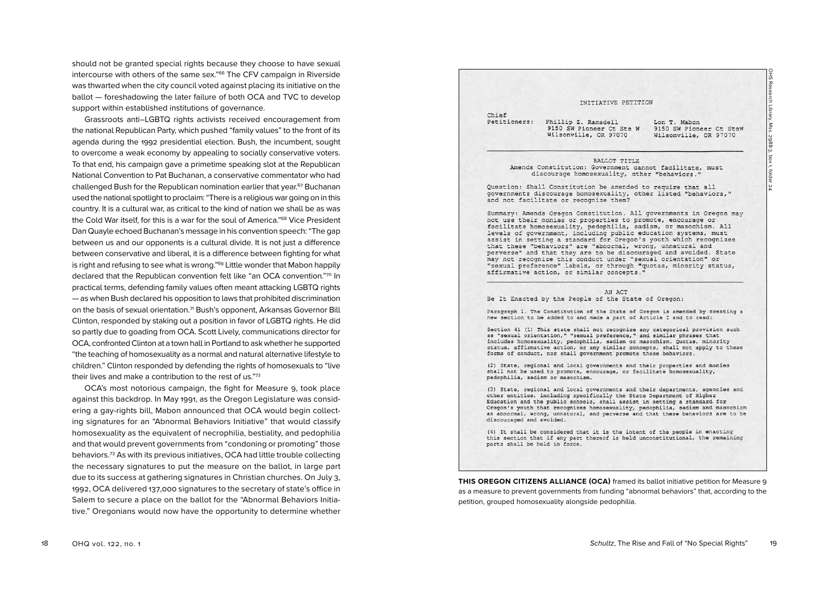should not be granted special rights because they choose to have sexual intercourse with others of the same sex."66 The CFV campaign in Riverside was thwarted when the city council voted against placing its initiative on the ballot — foreshadowing the later failure of both OCA and TVC to develop support within established institutions of governance.

Grassroots anti–LGBTQ rights activists received encouragement from the national Republican Party, which pushed "family values" to the front of its agenda during the 1992 presidential election. Bush, the incumbent, sought to overcome a weak economy by appealing to socially conservative voters. To that end, his campaign gave a primetime speaking slot at the Republican National Convention to Pat Buchanan, a conservative commentator who had challenged Bush for the Republican nomination earlier that year.<sup>67</sup> Buchanan used the national spotlight to proclaim: "There is a religious war going on in this country. It is a cultural war, as critical to the kind of nation we shall be as was the Cold War itself, for this is a war for the soul of America."<sup>68</sup> Vice President Dan Quayle echoed Buchanan's message in his convention speech: "The gap between us and our opponents is a cultural divide. It is not just a difference between conservative and liberal, it is a difference between fighting for what is right and refusing to see what is wrong."<sup>69</sup> Little wonder that Mabon happily declared that the Republican convention felt like "an OCA convention."70 In practical terms, defending family values often meant attacking LGBTQ rights — as when Bush declared his opposition to laws that prohibited discrimination on the basis of sexual orientation.<sup>71</sup> Bush's opponent, Arkansas Governor Bill Clinton, responded by staking out a position in favor of LGBTQ rights. He did so partly due to goading from OCA. Scott Lively, communications director for OCA, confronted Clinton at a town hall in Portland to ask whether he supported "the teaching of homosexuality as a normal and natural alternative lifestyle to children." Clinton responded by defending the rights of homosexuals to "live their lives and make a contribution to the rest of us."72

OCA's most notorious campaign, the fight for Measure 9, took place against this backdrop. In May 1991, as the Oregon Legislature was considering a gay-rights bill, Mabon announced that OCA would begin collecting signatures for an "Abnormal Behaviors Initiative" that would classify homosexuality as the equivalent of necrophilia, bestiality, and pedophilia and that would prevent governments from "condoning or promoting" those behaviors.73 As with its previous initiatives, OCA had little trouble collecting the necessary signatures to put the measure on the ballot, in large part due to its success at gathering signatures in Christian churches. On July 3, 1992, OCA delivered 137,000 signatures to the secretary of state's office in Salem to secure a place on the ballot for the "Abnormal Behaviors Initiative." Oregonians would now have the opportunity to determine whether

## INITIATIVE PETITION

Chief Petitioners:

Phillip Z. Ramsdell 9150 SW Pioneer Ct Ste W Wilsonville, OR 97070

Lon T. Mabon 9150 SW Pioneer Ct SteW Wilsonville, OR 97070

BALLOT TITLE Amends Constitution: Government cannot facilitate, must discourage homosexuality, other "behaviors."

Question: Shall Constitution be amended to require that all governments discourage homosexuality, other listed "behaviors," and not facilitate or recognize them?

Summary: Amends Oregon Constitution. All governments in Oregon may not use their monies or properties to promote, encourage or facilitate homosexuality, pedophilia, sadism, or masochism. All levels of government, including public education systems, must assist in setting a standard for Oregon's youth which recognizes that these "behaviors" are "abnormal, wrong, unnatural and perverse" and that they are to be discouraged and avoided. State may not recognize this conduct under "sexual orientation" or "sexual preference" labels, or through "quotas, minority status, affirmative action, or similar concepts."

### AN ACT

Be It Enacted by the People of the State of Oregon:

Paragraph 1. The Constitution of the State of Oregon is amended by creating a new section to be added to and made a part of Article I and to read:

Section 41 (1) This state shall not recognize any categorical provision such as "sexual orientation," "sexual preference," and similar phrases that includes homosexuality, pedophilia, sadism or masochism. Quotas, minority status, affirmative action, or any similar concepts, shall not apply to these forms of conduct, nor shall government promote these behaviors.

(2) State, regional and local governments and their properties and monies shall not be used to promote, encourage, or facilitate homosexuality, pedophilia, sadism or masochism.

(3) State, regional and local governments and their departments, agencies and other entities, including specifically the State Department of Higher Education and the public schools, shall assist in setting a standard for Oregon's youth that recognizes homosexuality, pedophilia, sadism and masochism as abnormal, wrong, unnatural, and perverse and that these behaviors are to be discouraged and avoided.

(4) It shall be considered that it is the intent of the people in enacting this section that if any part thereof is held unconstitutional, the remaining parts shall be held in force.

**THIS OREGON CITIZENS ALLIANCE (OCA)** framed its ballot initiative petition for Measure 9 as a measure to prevent governments from funding "abnormal behaviors" that, according to the petition, grouped homosexuality alongside pedophilia.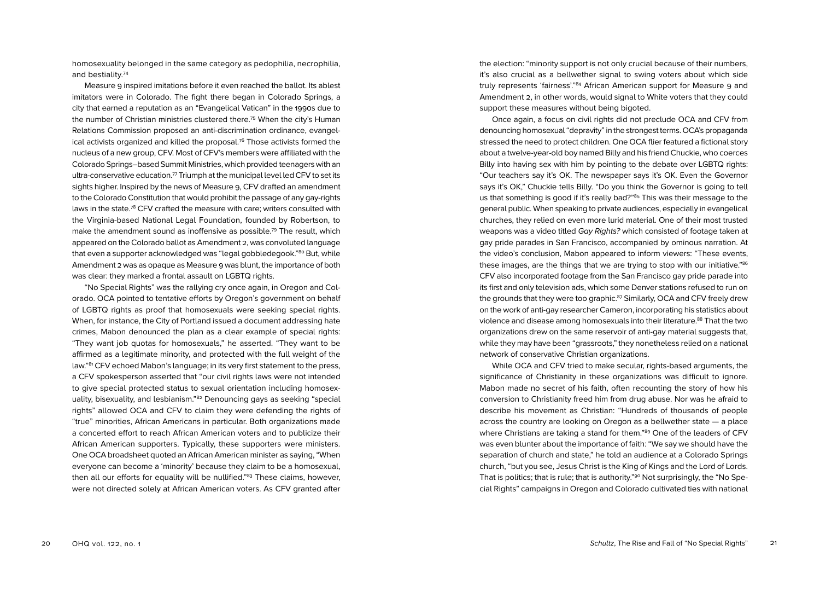homosexuality belonged in the same category as pedophilia, necrophilia, and bestiality.74

Measure 9 inspired imitations before it even reached the ballot. Its ablest imitators were in Colorado. The fight there began in Colorado Springs, a city that earned a reputation as an "Evangelical Vatican" in the 1990s due to the number of Christian ministries clustered there.75 When the city's Human Relations Commission proposed an anti-discrimination ordinance, evangelical activists organized and killed the proposal. $7<sup>6</sup>$  Those activists formed the nucleus of a new group, CFV. Most of CFV's members were affiliated with the Colorado Springs–based Summit Ministries, which provided teenagers with an ultra-conservative education.<sup>77</sup> Triumph at the municipal level led CFV to set its sights higher. Inspired by the news of Measure 9, CFV drafted an amendment to the Colorado Constitution that would prohibit the passage of any gay-rights laws in the state.78 CFV crafted the measure with care; writers consulted with the Virginia-based National Legal Foundation, founded by Robertson, to make the amendment sound as inoffensive as possible.79 The result, which appeared on the Colorado ballot as Amendment 2, was convoluted language that even a supporter acknowledged was "legal gobbledegook."<sup>80</sup> But, while Amendment 2 was as opaque as Measure 9 was blunt, the importance of both was clear: they marked a frontal assault on LGBTQ rights.

"No Special Rights" was the rallying cry once again, in Oregon and Colorado. OCA pointed to tentative efforts by Oregon's government on behalf of LGBTQ rights as proof that homosexuals were seeking special rights. When, for instance, the City of Portland issued a document addressing hate crimes, Mabon denounced the plan as a clear example of special rights: "They want job quotas for homosexuals," he asserted. "They want to be affirmed as a legitimate minority, and protected with the full weight of the law."81 CFV echoed Mabon's language; in its very first statement to the press, a CFV spokesperson asserted that "our civil rights laws were not intended to give special protected status to sexual orientation including homosexuality, bisexuality, and lesbianism."<sup>82</sup> Denouncing gays as seeking "special rights" allowed OCA and CFV to claim they were defending the rights of "true" minorities, African Americans in particular. Both organizations made a concerted effort to reach African American voters and to publicize their African American supporters. Typically, these supporters were ministers. One OCA broadsheet quoted an African American minister as saying, "When everyone can become a 'minority' because they claim to be a homosexual, then all our efforts for equality will be nullified."<sup>83</sup> These claims, however, were not directed solely at African American voters. As CFV granted after

the election: "minority support is not only crucial because of their numbers, it's also crucial as a bellwether signal to swing voters about which side truly represents 'fairness'."<sup>84</sup> African American support for Measure 9 and Amendment 2, in other words, would signal to White voters that they could support these measures without being bigoted.

Once again, a focus on civil rights did not preclude OCA and CFV from denouncing homosexual "depravity" in the strongest terms. OCA's propaganda stressed the need to protect children. One OCA flier featured a fictional story about a twelve-year-old boy named Billy and his friend Chuckie, who coerces Billy into having sex with him by pointing to the debate over LGBTQ rights: "Our teachers say it's OK. The newspaper says it's OK. Even the Governor says it's OK," Chuckie tells Billy. "Do you think the Governor is going to tell us that something is good if it's really bad?"85 This was their message to the general public. When speaking to private audiences, especially in evangelical churches, they relied on even more lurid material. One of their most trusted weapons was a video titled Gay Rights? which consisted of footage taken at gay pride parades in San Francisco, accompanied by ominous narration. At the video's conclusion, Mabon appeared to inform viewers: "These events, these images, are the things that we are trying to stop with our initiative."86 CFV also incorporated footage from the San Francisco gay pride parade into its first and only television ads, which some Denver stations refused to run on the grounds that they were too graphic.<sup>87</sup> Similarly, OCA and CFV freely drew on the work of anti-gay researcher Cameron, incorporating his statistics about violence and disease among homosexuals into their literature.88 That the two organizations drew on the same reservoir of anti-gay material suggests that, while they may have been "grassroots," they nonetheless relied on a national network of conservative Christian organizations.

While OCA and CFV tried to make secular, rights-based arguments, the significance of Christianity in these organizations was difficult to ignore. Mabon made no secret of his faith, often recounting the story of how his conversion to Christianity freed him from drug abuse. Nor was he afraid to describe his movement as Christian: "Hundreds of thousands of people across the country are looking on Oregon as a bellwether state — a place where Christians are taking a stand for them."89 One of the leaders of CFV was even blunter about the importance of faith: "We say we should have the separation of church and state," he told an audience at a Colorado Springs church, "but you see, Jesus Christ is the King of Kings and the Lord of Lords. That is politics; that is rule; that is authority."90 Not surprisingly, the "No Special Rights" campaigns in Oregon and Colorado cultivated ties with national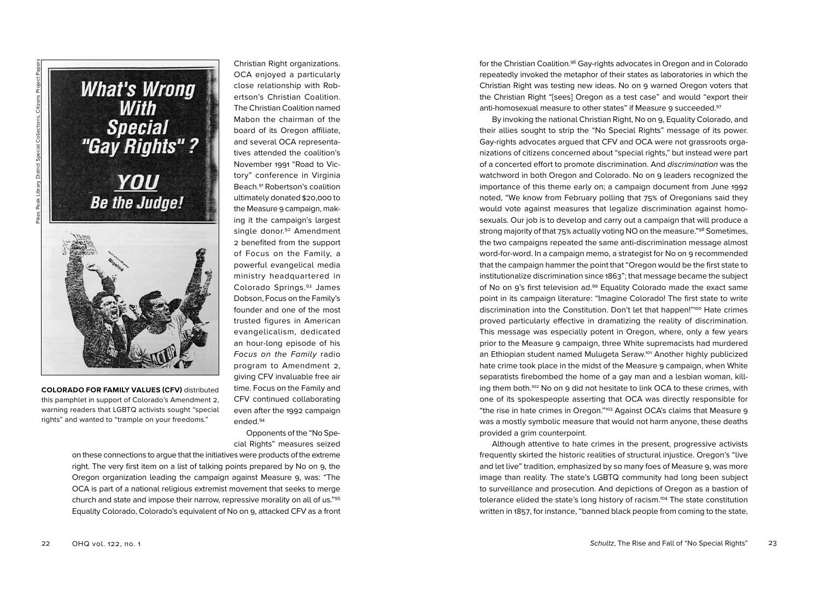

Pikes Peak Library District Special Collections, Citizens Project Papers

**COLORADO FOR FAMILY VALUES (CFV)** distributed this pamphlet in support of Colorado's Amendment 2, warning readers that LGBTQ activists sought "special rights" and wanted to "trample on your freedoms."

Christian Right organizations. OCA enjoyed a particularly close relationship with Robertson's Christian Coalition. The Christian Coalition named Mabon the chairman of the board of its Oregon affiliate, and several OCA representatives attended the coalition's November 1991 "Road to Victory" conference in Virginia Beach.91 Robertson's coalition ultimately donated \$20,000 to the Measure 9 campaign, making it the campaign's largest single donor.<sup>92</sup> Amendment 2 benefited from the support of Focus on the Family, a powerful evangelical media ministry headquartered in Colorado Springs.93 James Dobson, Focus on the Family's founder and one of the most trusted figures in American evangelicalism, dedicated an hour-long episode of his Focus on the Family radio program to Amendment 2, giving CFV invaluable free air time. Focus on the Family and CFV continued collaborating even after the 1992 campaign ended.94

Opponents of the "No Special Rights" measures seized

on these connections to argue that the initiatives were products of the extreme right. The very first item on a list of talking points prepared by No on 9, the Oregon organization leading the campaign against Measure 9, was: "The OCA is part of a national religious extremist movement that seeks to merge church and state and impose their narrow, repressive morality on all of us."95 Equality Colorado, Colorado's equivalent of No on 9, attacked CFV as a front for the Christian Coalition.<sup>96</sup> Gay-rights advocates in Oregon and in Colorado repeatedly invoked the metaphor of their states as laboratories in which the Christian Right was testing new ideas. No on 9 warned Oregon voters that the Christian Right "[sees] Oregon as a test case" and would "export their anti-homosexual measure to other states" if Measure 9 succeeded.<sup>97</sup>

By invoking the national Christian Right, No on 9, Equality Colorado, and their allies sought to strip the "No Special Rights" message of its power. Gay-rights advocates argued that CFV and OCA were not grassroots organizations of citizens concerned about "special rights," but instead were part of a concerted effort to promote discrimination. And discrimination was the watchword in both Oregon and Colorado. No on 9 leaders recognized the importance of this theme early on; a campaign document from June 1992 noted, "We know from February polling that 75% of Oregonians said they would vote against measures that legalize discrimination against homosexuals. Our job is to develop and carry out a campaign that will produce a strong majority of that 75% actually voting NO on the measure."98 Sometimes, the two campaigns repeated the same anti-discrimination message almost word-for-word. In a campaign memo, a strategist for No on 9 recommended that the campaign hammer the point that "Oregon would be the first state to institutionalize discrimination since 1863"; that message became the subject of No on 9's first television ad.99 Equality Colorado made the exact same point in its campaign literature: "Imagine Colorado! The first state to write discrimination into the Constitution. Don't let that happen!"<sup>100</sup> Hate crimes proved particularly effective in dramatizing the reality of discrimination. This message was especially potent in Oregon, where, only a few years prior to the Measure 9 campaign, three White supremacists had murdered an Ethiopian student named Mulugeta Seraw.101 Another highly publicized hate crime took place in the midst of the Measure 9 campaign, when White separatists firebombed the home of a gay man and a lesbian woman, killing them both.<sup>102</sup> No on 9 did not hesitate to link OCA to these crimes, with one of its spokespeople asserting that OCA was directly responsible for "the rise in hate crimes in Oregon."103 Against OCA's claims that Measure 9 was a mostly symbolic measure that would not harm anyone, these deaths provided a grim counterpoint.

Although attentive to hate crimes in the present, progressive activists frequently skirted the historic realities of structural injustice. Oregon's "live and let live" tradition, emphasized by so many foes of Measure 9, was more image than reality. The state's LGBTQ community had long been subject to surveillance and prosecution. And depictions of Oregon as a bastion of tolerance elided the state's long history of racism.104 The state constitution written in 1857, for instance, "banned black people from coming to the state,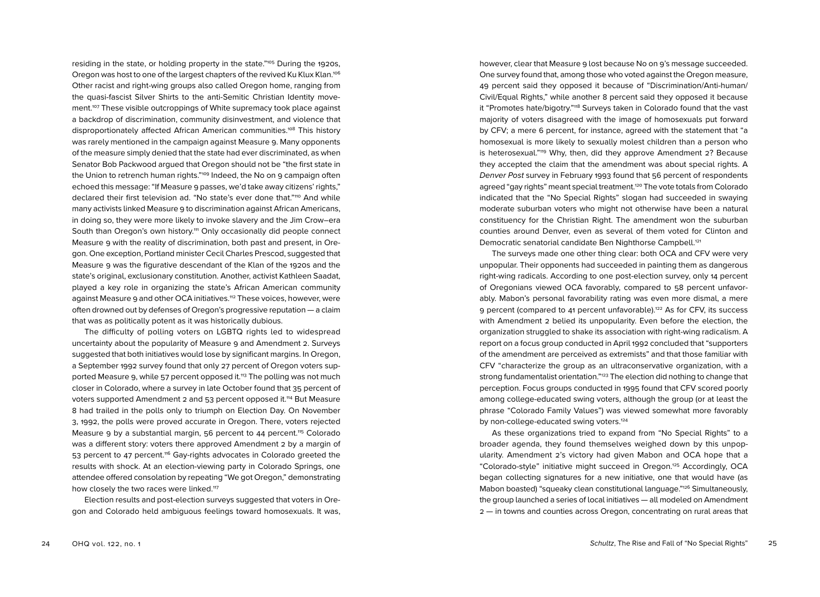residing in the state, or holding property in the state."105 During the 1920s, Oregon was host to one of the largest chapters of the revived Ku Klux Klan.<sup>106</sup> Other racist and right-wing groups also called Oregon home, ranging from the quasi-fascist Silver Shirts to the anti-Semitic Christian Identity movement.107 These visible outcroppings of White supremacy took place against a backdrop of discrimination, community disinvestment, and violence that disproportionately affected African American communities.<sup>108</sup> This history was rarely mentioned in the campaign against Measure 9. Many opponents of the measure simply denied that the state had ever discriminated, as when Senator Bob Packwood argued that Oregon should not be "the first state in the Union to retrench human rights."<sup>109</sup> Indeed, the No on 9 campaign often echoed this message: "If Measure 9 passes, we'd take away citizens' rights," declared their first television ad. "No state's ever done that."<sup>110</sup> And while many activists linked Measure 9 to discrimination against African Americans, in doing so, they were more likely to invoke slavery and the Jim Crow–era South than Oregon's own history.<sup>111</sup> Only occasionally did people connect Measure 9 with the reality of discrimination, both past and present, in Oregon. One exception, Portland minister Cecil Charles Prescod, suggested that Measure 9 was the figurative descendant of the Klan of the 1920s and the state's original, exclusionary constitution. Another, activist Kathleen Saadat, played a key role in organizing the state's African American community against Measure 9 and other OCA initiatives.<sup>112</sup> These voices, however, were often drowned out by defenses of Oregon's progressive reputation — a claim that was as politically potent as it was historically dubious.

The difficulty of polling voters on LGBTQ rights led to widespread uncertainty about the popularity of Measure 9 and Amendment 2. Surveys suggested that both initiatives would lose by significant margins. In Oregon, a September 1992 survey found that only 27 percent of Oregon voters supported Measure 9, while 57 percent opposed it.<sup>113</sup> The polling was not much closer in Colorado, where a survey in late October found that 35 percent of voters supported Amendment 2 and 53 percent opposed it.<sup>114</sup> But Measure 8 had trailed in the polls only to triumph on Election Day. On November 3, 1992, the polls were proved accurate in Oregon. There, voters rejected Measure 9 by a substantial margin, 56 percent to 44 percent.<sup>115</sup> Colorado was a different story: voters there approved Amendment 2 by a margin of 53 percent to 47 percent.116 Gay-rights advocates in Colorado greeted the results with shock. At an election-viewing party in Colorado Springs, one attendee offered consolation by repeating "We got Oregon," demonstrating how closely the two races were linked.<sup>117</sup>

Election results and post-election surveys suggested that voters in Oregon and Colorado held ambiguous feelings toward homosexuals. It was,

however, clear that Measure 9 lost because No on 9's message succeeded. One survey found that, among those who voted against the Oregon measure, 49 percent said they opposed it because of "Discrimination/Anti-human/ Civil/Equal Rights," while another 8 percent said they opposed it because it "Promotes hate/bigotry."<sup>118</sup> Surveys taken in Colorado found that the vast majority of voters disagreed with the image of homosexuals put forward by CFV; a mere 6 percent, for instance, agreed with the statement that "a homosexual is more likely to sexually molest children than a person who is heterosexual."119 Why, then, did they approve Amendment 2? Because they accepted the claim that the amendment was about special rights. A Denver Post survey in February 1993 found that 56 percent of respondents agreed "gay rights" meant special treatment.120 The vote totals from Colorado indicated that the "No Special Rights" slogan had succeeded in swaying moderate suburban voters who might not otherwise have been a natural constituency for the Christian Right. The amendment won the suburban counties around Denver, even as several of them voted for Clinton and Democratic senatorial candidate Ben Nighthorse Campbell.121

The surveys made one other thing clear: both OCA and CFV were very unpopular. Their opponents had succeeded in painting them as dangerous right-wing radicals. According to one post-election survey, only 14 percent of Oregonians viewed OCA favorably, compared to 58 percent unfavorably. Mabon's personal favorability rating was even more dismal, a mere 9 percent (compared to 41 percent unfavorable).<sup>122</sup> As for CFV, its success with Amendment 2 belied its unpopularity. Even before the election, the organization struggled to shake its association with right-wing radicalism. A report on a focus group conducted in April 1992 concluded that "supporters of the amendment are perceived as extremists" and that those familiar with CFV "characterize the group as an ultraconservative organization, with a strong fundamentalist orientation."<sup>123</sup> The election did nothing to change that perception. Focus groups conducted in 1995 found that CFV scored poorly among college-educated swing voters, although the group (or at least the phrase "Colorado Family Values") was viewed somewhat more favorably by non-college-educated swing voters.<sup>124</sup>

As these organizations tried to expand from "No Special Rights" to a broader agenda, they found themselves weighed down by this unpopularity. Amendment 2's victory had given Mabon and OCA hope that a "Colorado-style" initiative might succeed in Oregon.125 Accordingly, OCA began collecting signatures for a new initiative, one that would have (as Mabon boasted) "squeaky clean constitutional language."126 Simultaneously, the group launched a series of local initiatives — all modeled on Amendment 2 — in towns and counties across Oregon, concentrating on rural areas that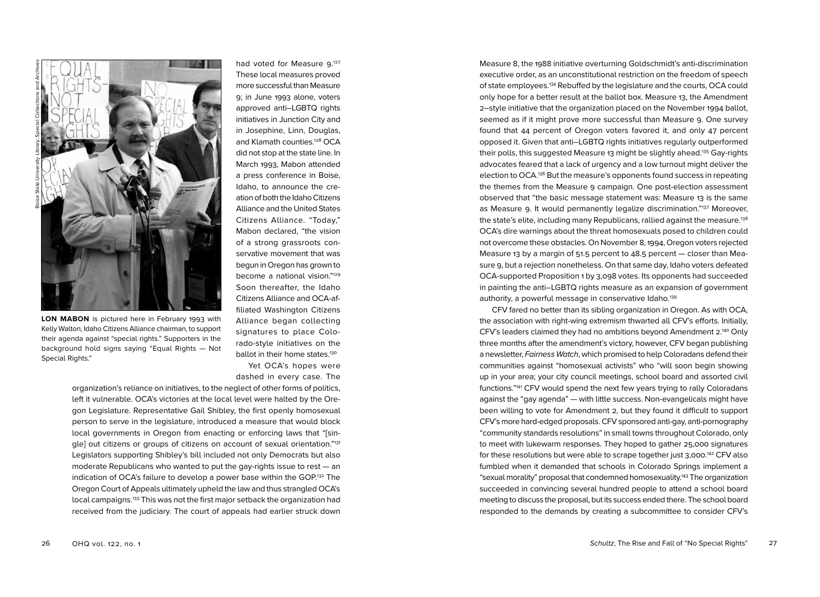

**LON MABON** is pictured here in February 1993 with Kelly Walton, Idaho Citizens Alliance chairman, to support their agenda against "special rights." Supporters in the background hold signs saying "Equal Rights — Not Special Rights."

had voted for Measure 9.<sup>127</sup> These local measures proved more successful than Measure 9; in June 1993 alone, voters approved anti–LGBTQ rights initiatives in Junction City and in Josephine, Linn, Douglas, and Klamath counties.<sup>128</sup> OCA did not stop at the state line. In March 1993, Mabon attended a press conference in Boise, Idaho, to announce the creation of both the Idaho Citizens Alliance and the United States Citizens Alliance. "Today," Mabon declared, "the vision of a strong grassroots conservative movement that was begun in Oregon has grown to become a national vision."129 Soon thereafter, the Idaho Citizens Alliance and OCA-affiliated Washington Citizens Alliance began collecting signatures to place Colorado-style initiatives on the ballot in their home states.<sup>130</sup>

Yet OCA's hopes were dashed in every case. The

organization's reliance on initiatives, to the neglect of other forms of politics, left it vulnerable. OCA's victories at the local level were halted by the Oregon Legislature. Representative Gail Shibley, the first openly homosexual person to serve in the legislature, introduced a measure that would block local governments in Oregon from enacting or enforcing laws that "[single] out citizens or groups of citizens on account of sexual orientation."<sup>131</sup> Legislators supporting Shibley's bill included not only Democrats but also moderate Republicans who wanted to put the gay-rights issue to rest — an indication of OCA's failure to develop a power base within the GOP.<sup>132</sup> The Oregon Court of Appeals ultimately upheld the law and thus strangled OCA's local campaigns.133 This was not the first major setback the organization had received from the judiciary. The court of appeals had earlier struck down

Measure 8, the 1988 initiative overturning Goldschmidt's anti-discrimination executive order, as an unconstitutional restriction on the freedom of speech of state employees.134 Rebuffed by the legislature and the courts, OCA could only hope for a better result at the ballot box. Measure 13, the Amendment 2–style initiative that the organization placed on the November 1994 ballot, seemed as if it might prove more successful than Measure 9. One survey found that 44 percent of Oregon voters favored it, and only 47 percent opposed it. Given that anti–LGBTQ rights initiatives regularly outperformed their polls, this suggested Measure 13 might be slightly ahead.135 Gay-rights advocates feared that a lack of urgency and a low turnout might deliver the election to OCA.136 But the measure's opponents found success in repeating the themes from the Measure 9 campaign. One post-election assessment observed that "the basic message statement was: Measure 13 is the same as Measure 9. It would permanently legalize discrimination."137 Moreover, the state's elite, including many Republicans, rallied against the measure.<sup>138</sup> OCA's dire warnings about the threat homosexuals posed to children could not overcome these obstacles. On November 8, 1994, Oregon voters rejected Measure 13 by a margin of 51.5 percent to  $48.5$  percent  $-$  closer than Measure 9, but a rejection nonetheless. On that same day, Idaho voters defeated OCA-supported Proposition 1 by 3,098 votes. Its opponents had succeeded in painting the anti–LGBTQ rights measure as an expansion of government authority, a powerful message in conservative Idaho.<sup>139</sup>

CFV fared no better than its sibling organization in Oregon. As with OCA, the association with right-wing extremism thwarted all CFV's efforts. Initially, CFV's leaders claimed they had no ambitions beyond Amendment 2.<sup>140</sup> Only three months after the amendment's victory, however, CFV began publishing a newsletter, Fairness Watch, which promised to help Coloradans defend their communities against "homosexual activists" who "will soon begin showing up in your area; your city council meetings, school board and assorted civil functions."141 CFV would spend the next few years trying to rally Coloradans against the "gay agenda" — with little success. Non-evangelicals might have been willing to vote for Amendment 2, but they found it difficult to support CFV's more hard-edged proposals. CFV sponsored anti-gay, anti-pornography "community standards resolutions" in small towns throughout Colorado, only to meet with lukewarm responses. They hoped to gather 25,000 signatures for these resolutions but were able to scrape together just 3,000. 142 CFV also fumbled when it demanded that schools in Colorado Springs implement a "sexual morality" proposal that condemned homosexuality.143 The organization succeeded in convincing several hundred people to attend a school board meeting to discuss the proposal, but its success ended there. The school board responded to the demands by creating a subcommittee to consider CFV's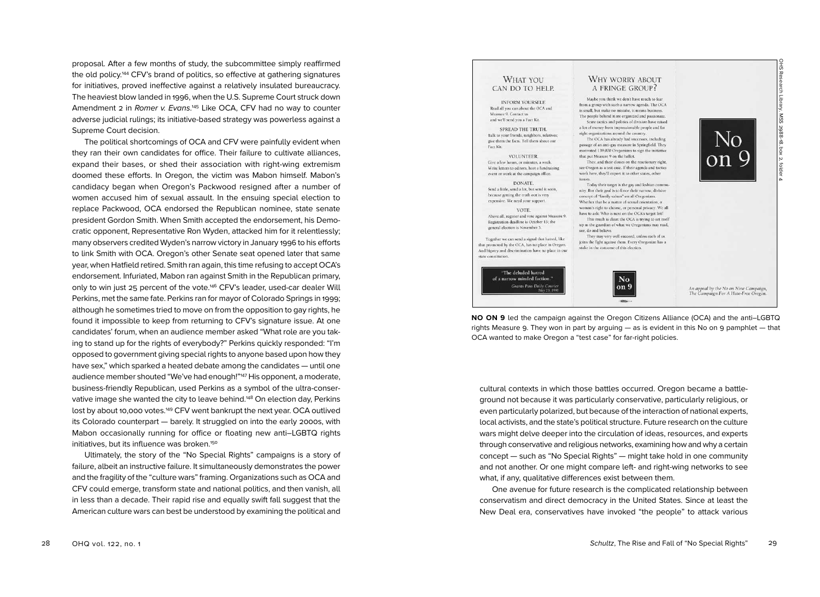proposal. After a few months of study, the subcommittee simply reaffirmed the old policy.144 CFV's brand of politics, so effective at gathering signatures for initiatives, proved ineffective against a relatively insulated bureaucracy. The heaviest blow landed in 1996, when the U.S. Supreme Court struck down Amendment 2 in Romer v. Evans.<sup>145</sup> Like OCA, CFV had no way to counter adverse judicial rulings; its initiative-based strategy was powerless against a Supreme Court decision.

The political shortcomings of OCA and CFV were painfully evident when they ran their own candidates for office. Their failure to cultivate alliances, expand their bases, or shed their association with right-wing extremism doomed these efforts. In Oregon, the victim was Mabon himself. Mabon's candidacy began when Oregon's Packwood resigned after a number of women accused him of sexual assault. In the ensuing special election to replace Packwood, OCA endorsed the Republican nominee, state senate president Gordon Smith. When Smith accepted the endorsement, his Democratic opponent, Representative Ron Wyden, attacked him for it relentlessly; many observers credited Wyden's narrow victory in January 1996 to his efforts to link Smith with OCA. Oregon's other Senate seat opened later that same year, when Hatfield retired. Smith ran again, this time refusing to accept OCA's endorsement. Infuriated, Mabon ran against Smith in the Republican primary, only to win just 25 percent of the vote.<sup>146</sup> CFV's leader, used-car dealer Will Perkins, met the same fate. Perkins ran for mayor of Colorado Springs in 1999; although he sometimes tried to move on from the opposition to gay rights, he found it impossible to keep from returning to CFV's signature issue. At one candidates' forum, when an audience member asked "What role are you taking to stand up for the rights of everybody?" Perkins quickly responded: "I'm opposed to government giving special rights to anyone based upon how they have sex," which sparked a heated debate among the candidates — until one audience member shouted "We've had enough!"<sup>147</sup> His opponent, a moderate, business-friendly Republican, used Perkins as a symbol of the ultra-conservative image she wanted the city to leave behind.<sup>448</sup> On election day, Perkins lost by about 10,000 votes.<sup>149</sup> CFV went bankrupt the next year. OCA outlived its Colorado counterpart — barely. It struggled on into the early 2000s, with Mabon occasionally running for office or floating new anti–LGBTQ rights initiatives, but its influence was broken.<sup>150</sup>

Ultimately, the story of the "No Special Rights" campaigns is a story of failure, albeit an instructive failure. It simultaneously demonstrates the power and the fragility of the "culture wars" framing. Organizations such as OCA and CFV could emerge, transform state and national politics, and then vanish, all in less than a decade. Their rapid rise and equally swift fall suggest that the American culture wars can best be understood by examining the political and



**NO ON 9** led the campaign against the Oregon Citizens Alliance (OCA) and the anti–LGBTQ rights Measure 9. They won in part by arguing  $-$  as is evident in this No on 9 pamphlet  $-$  that OCA wanted to make Oregon a "test case" for far-right policies.

cultural contexts in which those battles occurred. Oregon became a battleground not because it was particularly conservative, particularly religious, or even particularly polarized, but because of the interaction of national experts, local activists, and the state's political structure. Future research on the culture wars might delve deeper into the circulation of ideas, resources, and experts through conservative and religious networks, examining how and why a certain concept — such as "No Special Rights" — might take hold in one community and not another. Or one might compare left- and right-wing networks to see what, if any, qualitative differences exist between them.

One avenue for future research is the complicated relationship between conservatism and direct democracy in the United States. Since at least the New Deal era, conservatives have invoked "the people" to attack various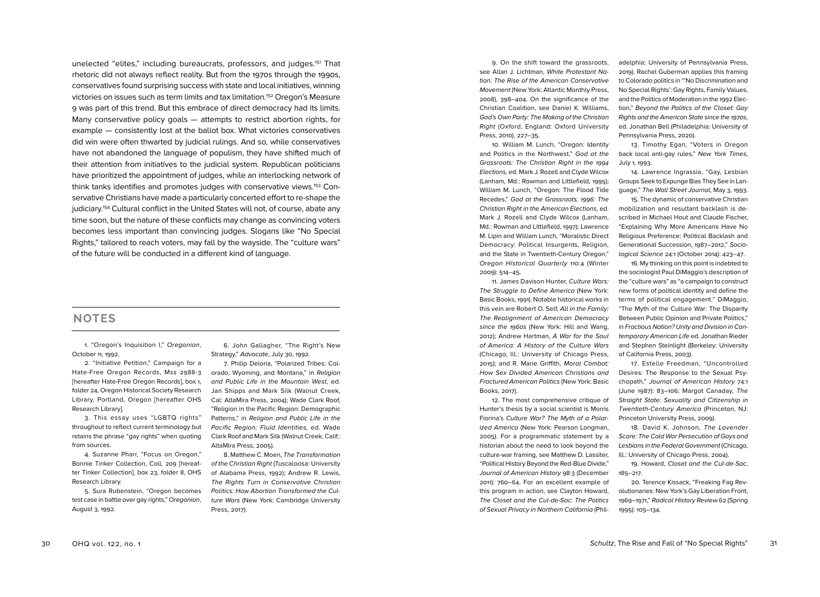unelected "elites," including bureaucrats, professors, and judges.151 That rhetoric did not always reflect reality. But from the 1970s through the 1990s, conservatives found surprising success with state and local initiatives, winning victories on issues such as term limits and tax limitation.152 Oregon's Measure 9 was part of this trend. But this embrace of direct democracy had its limits. Many conservative policy goals — attempts to restrict abortion rights, for example — consistently lost at the ballot box. What victories conservatives did win were often thwarted by judicial rulings. And so, while conservatives have not abandoned the language of populism, they have shifted much of their attention from initiatives to the judicial system. Republican politicians have prioritized the appointment of judges, while an interlocking network of think tanks identifies and promotes judges with conservative views.153 Conservative Christians have made a particularly concerted effort to re-shape the judiciary.154 Cultural conflict in the United States will not, of course, abate any time soon, but the nature of these conflicts may change as convincing voters becomes less important than convincing judges. Slogans like "No Special Rights," tailored to reach voters, may fall by the wayside. The "culture wars" of the future will be conducted in a different kind of language.

## **NOTES**

1. "Oregon's Inquisition I," Oregonian, October 11, 1992.

2. "Initiative Petition," Campaign for a Hate-Free Oregon Records, Mss 2988-3 [hereafter Hate-Free Oregon Records], box 1, folder 24, Oregon Historical Society Research Library, Portland, Oregon [hereafter OHS Research Library].

3. This essay uses "LGBTQ rights" throughout to reflect current terminology but retains the phrase "gay rights" when quoting from sources.

4. Suzanne Pharr, "Focus on Oregon," Bonnie Tinker Collection, Coll. 209 [hereafter Tinker Collection], box 23, folder 8, OHS Research Library.

5. Sura Rubenstein, "Oregon becomes test case in battle over gay rights," Oregonian, August 3, 1992.

6. John Gallagher, "The Right's New Strategy," Advocate, July 30, 1992.

7. Philip Deloria, "Polarized Tribes: Colorado, Wyoming, and Montana," in Religion and Public Life in the Mountain West, ed. Jan Shipps and Mark Silk (Walnut Creek, Cal: AltaMira Press, 2004); Wade Clark Roof, "Religion in the Pacific Region: Demographic Patterns," in Religion and Public Life in the Pacific Region: Fluid Identities, ed. Wade Clark Roof and Mark Silk (Walnut Creek, Calif.: AltaMira Press, 2005).

8. Matthew C. Moen, The Transformation of the Christian Right (Tuscaloosa: University of Alabama Press, 1992); Andrew R. Lewis, The Rights Turn in Conservative Christian Politics: How Abortion Transformed the Culture Wars (New York: Cambridge University Press, 2017).

9. On the shift toward the grassroots, see Allan J. Lichtman, White Protestant Nation: The Rise of the American Conservative Movement (New York: Atlantic Monthly Press, 2008), 398–404. On the significance of the Christian Coalition, see Daniel K. Williams, God's Own Party: The Making of the Christian Right (Oxford, England: Oxford University Press, 2010), 227–35.

10. William M. Lunch, "Oregon: Identity and Politics in the Northwest," God at the Grassroots: The Christian Right in the 1994 Elections, ed. Mark J. Rozell and Clyde Wilcox (Lanham, Md.: Rowman and Littlefield, 1995); William M. Lunch, "Oregon: The Flood Tide Recedes," God at the Grassroots, 1996: The Christian Right in the American Elections, ed. Mark J. Rozell and Clyde Wilcox (Lanham, Md.: Rowman and Littlefield, 1997); Lawrence M. Lipin and William Lunch, "Moralistic Direct Democracy: Political Insurgents, Religion, and the State in Twentieth-Century Oregon," Oregon Historical Quarterly 110:4 (Winter 2009): 514–45.

11. James Davison Hunter, Culture Wars: The Struggle to Define America (New York: Basic Books, 1991). Notable historical works in this vein are Robert O. Self, All in the Family: The Realignment of American Democracy since the 1960s (New York: Hill and Wang, 2012); Andrew Hartman, A War for the Soul of America: A History of the Culture Wars (Chicago, Ill.: University of Chicago Press, 2015); and R. Marie Griffith, Moral Combat: How Sex Divided American Christians and Fractured American Politics (New York: Basic Books, 2017).

12. The most comprehensive critique of Hunter's thesis by a social scientist is Morris Fiorina's Culture War? The Myth of a Polarized America (New York: Pearson Longman, 2005). For a programmatic statement by a historian about the need to look beyond the culture-war framing, see Matthew D. Lassiter, "Political History Beyond the Red-Blue Divide," Journal of American History 98:3 (December 2011): 760–64. For an excellent example of this program in action, see Clayton Howard, The Closet and the Cul-de-Sac: The Politics of Sexual Privacy in Northern California (Philadelphia: University of Pennsylvania Press, 2019). Rachel Guberman applies this framing to Colorado politics in "'No Discrimination and No Special Rights': Gay Rights, Family Values, and the Politics of Moderation in the 1992 Election," Beyond the Politics of the Closet: Gay Rights and the American State since the 1970s, ed. Jonathan Bell (Philadelphia: University of Pennsylvania Press, 2020).

13. Timothy Egan, "Voters in Oregon back local anti-gay rules," New York Times, July 1, 1993.

14. Lawrence Ingrassia, "Gay, Lesbian Groups Seek to Expunge Bias They See in Language," The Wall Street Journal, May 3, 1993.

15. The dynamic of conservative Christian mobilization and resultant backlash is described in Michael Hout and Claude Fischer, "Explaining Why More Americans Have No Religious Preference: Political Backlash and Generational Succession, 1987–2012," Sociological Science 24:1 (October 2014): 423–47.

16. My thinking on this point is indebted to the sociologist Paul DiMaggio's description of the "culture wars" as "a campaign to construct new forms of political identity and define the terms of political engagement." DiMaggio, "The Myth of the Culture War: The Disparity Between Public Opinion and Private Politics," in Fractious Nation? Unity and Division in Contemporary American Life ed. Jonathan Rieder and Stephen Steinlight (Berkeley: University of California Press, 2003).

17. Estelle Freedman, "Uncontrolled Desires: The Response to the Sexual Psychopath," Journal of American History 74:1 (June 1987): 83–106; Margot Canaday, The Straight State: Sexuality and Citizenship in Twentieth-Century America (Princeton, NJ: Princeton University Press, 2009).

18. David K. Johnson, The Lavender Scare: The Cold War Persecution of Gays and Lesbians in the Federal Government (Chicago, Ill.: University of Chicago Press, 2004).

19. Howard, Closet and the Cul-de-Sac, 185–217.

20. Terence Kissack, "Freaking Fag Revolutionaries: New York's Gay Liberation Front, 1969–1971," Radical History Review 62 (Spring 1995): 105–134.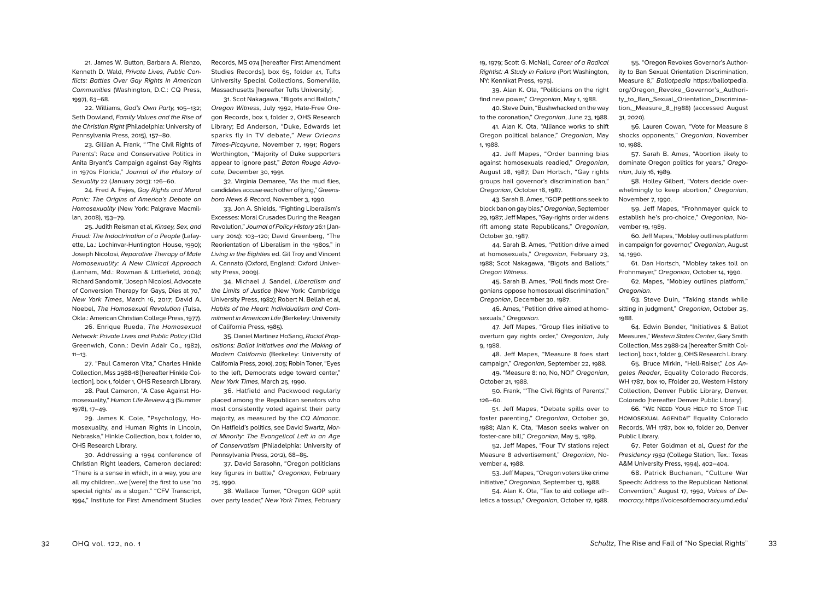22. Williams, God's Own Party, 105–132; Seth Dowland, Family Values and the Rise of the Christian Right (Philadelphia: University of Pennsylvania Press, 2015), 157–80.

23. Gillian A. Frank, " 'The Civil Rights of Parents': Race and Conservative Politics in Anita Bryant's Campaign against Gay Rights in 1970s Florida," Journal of the History of Sexuality 22 (January 2013): 126–60.

24. Fred A. Fejes, Gay Rights and Moral Panic: The Origins of America's Debate on Homosexuality (New York: Palgrave Macmillan, 2008), 153–79.

25. Judith Reisman et al, Kinsey, Sex, and Fraud: The Indoctrination of a People (Lafayette, La.: Lochinvar-Huntington House, 1990); Joseph Nicolosi, Reparative Therapy of Male Homosexuality: A New Clinical Approach (Lanham, Md.: Rowman & Littlefield, 2004); Richard Sandomir, "Joseph Nicolosi, Advocate of Conversion Therapy for Gays, Dies at 70," New York Times, March 16, 2017; David A. Noebel, The Homosexual Revolution (Tulsa, Okla.: American Christian College Press, 1977).

26. Enrique Rueda, The Homosexual Network: Private Lives and Public Policy (Old Greenwich, Conn.: Devin Adair Co., 1982),  $11 - 13$ .

27. "Paul Cameron Vita," Charles Hinkle Collection, Mss 2988-18 [hereafter Hinkle Collection], box 1, folder 1, OHS Research Library.

28. Paul Cameron, "A Case Against Homosexuality," Human Life Review 4:3 (Summer 1978), 17–49.

29. James K. Cole, "Psychology, Homosexuality, and Human Rights in Lincoln, Nebraska," Hinkle Collection, box 1, folder 10, OHS Research Library.

30. Addressing a 1994 conference of Christian Right leaders, Cameron declared: "There is a sense in which, in a way, you are all my children…we [were] the first to use 'no special rights' as a slogan." "CFV Transcript, 1994," Institute for First Amendment Studies

Records, MS 074 [hereafter First Amendment Studies Records], box 65, folder 41, Tufts University Special Collections, Somerville, Massachusetts [hereafter Tufts University].

31. Scot Nakagawa, "Bigots and Ballots," Oregon Witness, July 1992, Hate-Free Oregon Records, box 1, folder 2, OHS Research Library; Ed Anderson, "Duke, Edwards let sparks fly in TV debate," New Orleans Times-Picayune, November 7, 1991; Rogers Worthington, "Majority of Duke supporters appear to ignore past," Baton Rouge Advocate, December 30, 1991.

32. Virginia Demaree, "As the mud flies, candidates accuse each other of lying," Greensboro News & Record, November 3, 1990.

33. Jon A. Shields, "Fighting Liberalism's Excesses: Moral Crusades During the Reagan Revolution," Journal of Policy History 26:1 (January 2014): 103–120; David Greenberg, "The Reorientation of Liberalism in the 1980s," in Living in the Eighties ed. Gil Troy and Vincent A. Cannato (Oxford, England: Oxford University Press, 2009).

34. Michael J. Sandel, Liberalism and the Limits of Justice (New York: Cambridge University Press, 1982); Robert N. Bellah et al, Habits of the Heart: Individualism and Commitment in American Life (Berkeley: University of California Press, 1985).

35. Daniel Martinez HoSang, Racial Propositions: Ballot Initiatives and the Making of Modern California (Berkeley: University of California Press, 2010), 205; Robin Toner, "Eyes to the left, Democrats edge toward center," New York Times, March 25, 1990.

36. Hatfield and Packwood regularly placed among the Republican senators who most consistently voted against their party majority, as measured by the CQ Almanac. On Hatfield's politics, see David Swartz, Moral Minority: The Evangelical Left in an Age of Conservatism (Philadelphia: University of Pennsylvania Press, 2012), 68–85.

37. David Sarasohn, "Oregon politicians key figures in battle," Oregonian, February 25, 1990.

38. Wallace Turner, "Oregon GOP split over party leader," New York Times, February

19, 1979; Scott G. McNall, Career of a Radical Rightist: A Study in Failure (Port Washington, NY: Kennikat Press, 1975).

39. Alan K. Ota, "Politicians on the right find new power," Oregonian, May 1, 1988.

40. Steve Duin, "Bushwhacked on the way to the coronation," Oregonian, June 23, 1988.

41. Alan K. Ota, "Alliance works to shift Oregon political balance," Oregonian, May 1, 1988.

42. Jeff Mapes, "Order banning bias against homosexuals readied," Oregonian, August 28, 1987; Dan Hortsch, "Gay rights groups hail governor's discrimination ban," Oregonian, October 16, 1987.

43. Sarah B. Ames, "GOP petitions seek to block ban on gay bias," Oregonian, September 29, 1987; Jeff Mapes, "Gay-rights order widens rift among state Republicans," Oregonian, October 30, 1987.

44. Sarah B. Ames, "Petition drive aimed at homosexuals," Oregonian, February 23, 1988; Scot Nakagawa, "Bigots and Ballots," Oregon Witness.

45. Sarah B. Ames, "Poll finds most Oregonians oppose homosexual discrimination," Oregonian, December 30, 1987.

46. Ames, "Petition drive aimed at homosexuals," Oregonian.

47. Jeff Mapes, "Group files initiative to overturn gay rights order," Oregonian, July 9, 1988.

48. Jeff Mapes, "Measure 8 foes start campaign," Oregonian, September 22, 1988. 49. "Measure 8: no, No, NO!" Oregonian,

October 21, 1988.

50. Frank, "'The Civil Rights of Parents'," 126–60.

51. Jeff Mapes, "Debate spills over to foster parenting," Oregonian, October 30, 1988; Alan K. Ota, "Mason seeks waiver on foster-care bill," Oregonian, May 5, 1989.

52. Jeff Mapes, "Four TV stations reject Measure 8 advertisement," Oregonian, November 4, 1988.

53. Jeff Mapes, "Oregon voters like crime initiative," Oregonian, September 13, 1988. 54. Alan K. Ota, "Tax to aid college athletics a tossup," Oregonian, October 17, 1988.

55. "Oregon Revokes Governor's Authority to Ban Sexual Orientation Discrimination, Measure 8," Ballotpedia https://ballotpedia. org/Oregon\_Revoke\_Governor's\_Authority\_to\_Ban\_Sexual\_Orientation\_Discrimination,\_Measure\_8\_(1988) (accessed August 31, 2020).

56. Lauren Cowan, "Vote for Measure 8 shocks opponents," Oregonian, November 10, 1988.

57. Sarah B. Ames, "Abortion likely to dominate Oregon politics for years," Oregonian, July 16, 1989.

58. Holley Gilbert, "Voters decide overwhelmingly to keep abortion," Oregonian, November 7, 1990.

59. Jeff Mapes, "Frohnmayer quick to establish he's pro-choice," Oregonian, November 19, 1989.

60. Jeff Mapes, "Mobley outlines platform in campaign for governor," Oregonian, August 14, 1990.

61. Dan Hortsch, "Mobley takes toll on Frohnmayer," Oregonian, October 14, 1990.

62. Mapes, "Mobley outlines platform," Oregonian.

63. Steve Duin, "Taking stands while sitting in judgment," Oregonian, October 25, 1988.

64. Edwin Bender, "Initiatives & Ballot Measures," Western States Center, Gary Smith Collection, Mss 2988-24 [hereafter Smith Collection], box 1, folder 9, OHS Research Library.

65. Bruce Mirkin, "Hell-Raiser," Los Angeles Reader, Equality Colorado Records, WH 1787, box 10, Ffolder 20, Western History Collection, Denver Public Library, Denver, Colorado [hereafter Denver Public Library].

66. "We Need Your Help to Stop The Homosexual Agenda!" Equality Colorado Records, WH 1787, box 10, folder 20, Denver Public Library.

67. Peter Goldman et al, Quest for the Presidency 1992 (College Station, Tex.: Texas A&M University Press, 1994), 402–404.

68. Patrick Buchanan, "Culture War Speech: Address to the Republican National Convention," August 17, 1992, Voices of Democracy, https://voicesofdemocracy.umd.edu/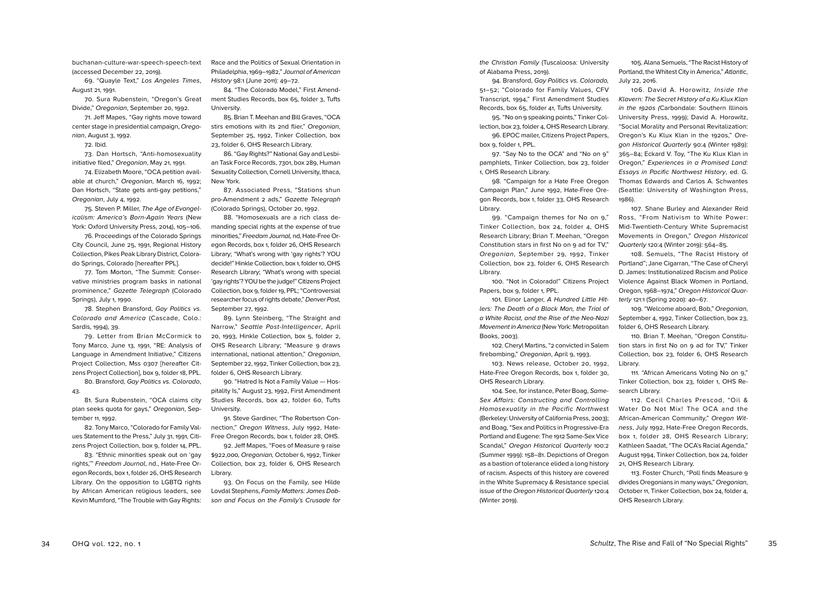buchanan-culture-war-speech-speech-text (accessed December 22, 2019).

69. "Quayle Text," Los Angeles Times, August 21, 1991.

70. Sura Rubenstein, "Oregon's Great Divide," Oregonian, September 20, 1992.

71. Jeff Mapes, "Gay rights move toward center stage in presidential campaign, Oregonian, August 3, 1992.

72. Ibid.

73. Dan Hortsch, "Anti-homosexuality initiative filed," Oregonian, May 21, 1991.

74. Elizabeth Moore, "OCA petition available at church," Oregonian, March 16, 1992; Dan Hortsch, "State gets anti-gay petitions," Oregonian, July 4, 1992.

75. Steven P. Miller, The Age of Evangelicalism: America's Born-Again Years (New York: Oxford University Press, 2014), 105–106.

76. Proceedings of the Colorado Springs City Council, June 25, 1991, Regional History Collection, Pikes Peak Library District, Colorado Springs, Colorado [hereafter PPL].

77. Tom Morton, "The Summit: Conservative ministries program basks in national prominence," Gazette Telegraph (Colorado Springs), July 1, 1990.

78. Stephen Bransford, Gay Politics vs. Colorado and America (Cascade, Colo.: Sardis, 1994), 39.

79. Letter from Brian McCormick to Tony Marco, June 13, 1991, "RE: Analysis of Language in Amendment Initiative," Citizens Project Collection, Mss 0307 [hereafter Citzens Project Collection], box 9, folder 18, PPL.

80. Bransford, Gay Politics vs. Colorado, 43.

81. Sura Rubenstein, "OCA claims city plan seeks quota for gays," Oregonian, September 11, 1992.

82. Tony Marco, "Colorado for Family Values Statement to the Press," July 31, 1991, Citizens Project Collection, box 9, folder 14, PPL.

83. "Ethnic minorities speak out on 'gay rights,'" Freedom Journal, nd., Hate-Free Oregon Records, box 1, folder 26, OHS Research Library. On the opposition to LGBTQ rights by African American religious leaders, see Kevin Mumford, "The Trouble with Gay Rights:

Race and the Politics of Sexual Orientation in Philadelphia, 1969–1982," Journal of American History 98:1 (June 2011): 49–72.

84. "The Colorado Model," First Amendment Studies Records, box 65, folder 3, Tufts University.

85. Brian T. Meehan and Bill Graves, "OCA stirs emotions with its 2nd flier," Oregonian, September 25, 1992, Tinker Collection, box 23, folder 6, OHS Research Library.

86. "Gay Rights?" National Gay and Lesbian Task Force Records, 7301, box 289, Human Sexuality Collection, Cornell University, Ithaca, New York.

87. Associated Press, "Stations shun pro-Amendment 2 ads," Gazette Telegraph (Colorado Springs), October 20, 1992.

88. "Homosexuals are a rich class demanding special rights at the expense of true minorities," Freedom Journal, nd, Hate-Free Oregon Records, box 1, folder 26, OHS Research Library; "What's wrong with 'gay rights'? YOU decide!" Hinkle Collection, box 1, folder 10, OHS Research Library; "What's wrong with special 'gay rights'? YOU be the judge!" Citizens Project Collection, box 9, folder 19, PPL; "Controversial researcher focus of rights debate," Denver Post, September 27, 1992.

89. Lynn Steinberg, "The Straight and Narrow," Seattle Post-Intelligencer, April 20, 1993, Hinkle Collection, box 5, folder 2, OHS Research Library; "Measure 9 draws international, national attention," Oregonian, September 22, 1992, Tinker Collection, box 23, folder 6, OHS Research Library.

90. "Hatred Is Not a Family Value — Hospitality Is," August 23, 1992, First Amendment Studies Records, box 42, folder 60, Tufts University.

91. Steve Gardiner, "The Robertson Connection," Oregon Witness, July 1992, Hate-Free Oregon Records, box 1, folder 28, OHS.

92. Jeff Mapes, "Foes of Measure 9 raise \$922,000, Oregonian, October 6, 1992, Tinker Collection, box 23, folder 6, OHS Research Library.

93. On Focus on the Family, see Hilde Lovdal Stephens, Family Matters: James Dobson and Focus on the Family's Crusade for the Christian Family (Tuscaloosa: University of Alabama Press, 2019).

94. Bransford, Gay Politics vs. Colorado, 51–52; "Colorado for Family Values, CFV Transcript, 1994," First Amendment Studies Records, box 65, folder 41, Tufts University.

95. "No on 9 speaking points," Tinker Collection, box 23, folder 4, OHS Research Library. 96. EPOC mailer, Citizens Project Papers, box 9, folder 1, PPL.

97. "Say No to the OCA" and "No on 9" pamphlets, Tinker Collection, box 23, folder 1, OHS Research Library.

98. "Campaign for a Hate Free Oregon Campaign Plan," June 1992, Hate-Free Oregon Records, box 1, folder 33, OHS Research Library.

99. "Campaign themes for No on 9," Tinker Collection, box 24, folder 4, OHS Research Library; Brian T. Meehan, "Oregon Constitution stars in first No on 9 ad for TV," Oregonian, September 29, 1992, Tinker Collection, box 23, folder 6, OHS Research Library.

100. "Not in Colorado!" Citizens Project Papers, box 9, folder 1, PPL.

101. Elinor Langer, A Hundred Little Hitlers: The Death of a Black Man, the Trial of a White Racist, and the Rise of the Neo-Nazi Movement in America (New York: Metropolitan Books, 2003).

102. Cheryl Martins, "2 convicted in Salem firebombing," Oregonian, April 9, 1993.

103. News release, October 20, 1992, Hate-Free Oregon Records, box 1, folder 30, OHS Research Library.

104. See, for instance, Peter Boag, Same-Sex Affairs: Constructing and Controlling Homosexuality in the Pacific Northwest (Berkeley: University of California Press, 2003); and Boag, "Sex and Politics in Progressive-Era Portland and Eugene: The 1912 Same-Sex Vice Scandal," Oregon Historical Quarterly 100:2 (Summer 1999): 158–81. Depictions of Oregon as a bastion of tolerance elided a long history of racism. Aspects of this history are covered in the White Supremacy & Resistance special issue of the Oregon Historical Quarterly 120:4 (Winter 2019).

105. Alana Semuels, "The Racist History of Portland, the Whitest City in America," Atlantic, July 22, 2016.

106. David A. Horowitz, Inside the Klavern: The Secret History of a Ku Klux Klan in the 1920s (Carbondale: Southern Illinois University Press, 1999); David A. Horowitz, "Social Morality and Personal Revitalization: Oregon's Ku Klux Klan in the 1920s," Oregon Historical Quarterly 90:4 (Winter 1989): 365–84; Eckard V. Toy, "The Ku Klux Klan in Oregon," Experiences in a Promised Land: Essays in Pacific Northwest History, ed. G. Thomas Edwards and Carlos A. Schwantes (Seattle: University of Washington Press, 1986).

107. Shane Burley and Alexander Reid Ross, "From Nativism to White Power: Mid-Twentieth-Century White Supremacist Movements in Oregon," Oregon Historical Quarterly 120:4 (Winter 2019): 564–85.

108. Semuels, "The Racist History of Portland"; Jane Cigarran, "The Case of Cheryl D. James: Institutionalized Racism and Police Violence Against Black Women in Portland, Oregon, 1968–1974," Oregon Historical Quarterly 121:1 (Spring 2020): 40–67.

109. "Welcome aboard, Bob," Oregonian, September 4, 1992, Tinker Collection, box 23, folder 6, OHS Research Library.

110. Brian T. Meehan, "Oregon Constitution stars in first No on 9 ad for TV," Tinker Collection, box 23, folder 6, OHS Research Library.

111. "African Americans Voting No on 9," Tinker Collection, box 23, folder 1, OHS Research Library.

112. Cecil Charles Prescod, "Oil & Water Do Not Mix! The OCA and the African-American Community," Oregon Witness, July 1992, Hate-Free Oregon Records, box 1, folder 28, OHS Research Library; Kathleen Saadat, "The OCA's Racial Agenda," August 1994, Tinker Collection, box 24, folder 21, OHS Research Library.

113. Foster Church, "Poll finds Measure 9 divides Oregonians in many ways," Oregonian, October 11, Tinker Collection, box 24, folder 4, OHS Research Library.